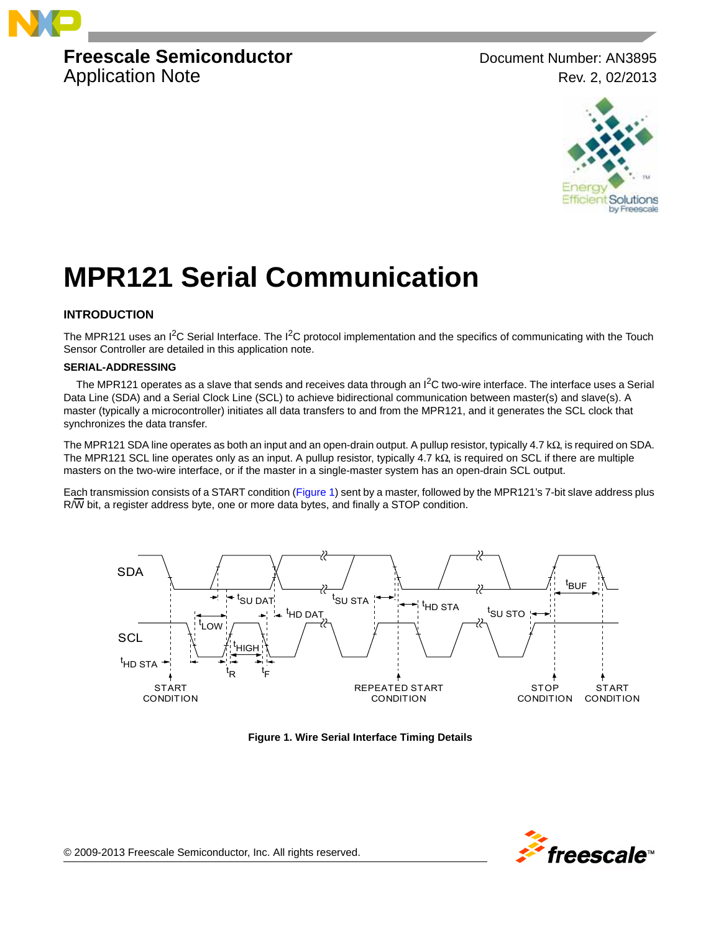

## **Freescale Semiconductor** Document Number: AN3895 Application Note **Rev. 2, 02/2013**



# **MPR121 Serial Communication**

### **INTRODUCTION**

The MPR121 uses an  $I^2C$  Serial Interface. The  $I^2C$  protocol implementation and the specifics of communicating with the Touch Sensor Controller are detailed in this application note.

#### **SERIAL-ADDRESSING**

The MPR121 operates as a slave that sends and receives data through an  $I^2C$  two-wire interface. The interface uses a Serial Data Line (SDA) and a Serial Clock Line (SCL) to achieve bidirectional communication between master(s) and slave(s). A master (typically a microcontroller) initiates all data transfers to and from the MPR121, and it generates the SCL clock that synchronizes the data transfer.

The MPR121 SDA line operates as both an input and an open-drain output. A pullup resistor, typically 4.7 kΩ, is required on SDA. The MPR121 SCL line operates only as an input. A pullup resistor, typically 4.7 kΩ, is required on SCL if there are multiple masters on the two-wire interface, or if the master in a single-master system has an open-drain SCL output.

Each transmission consists of a START condition ([Figure](#page-0-0) 1) sent by a master, followed by the MPR121's 7-bit slave address plus  $R/\overline{W}$  bit, a register address byte, one or more data bytes, and finally a STOP condition.



<span id="page-0-0"></span>**Figure 1. Wire Serial Interface Timing Details**

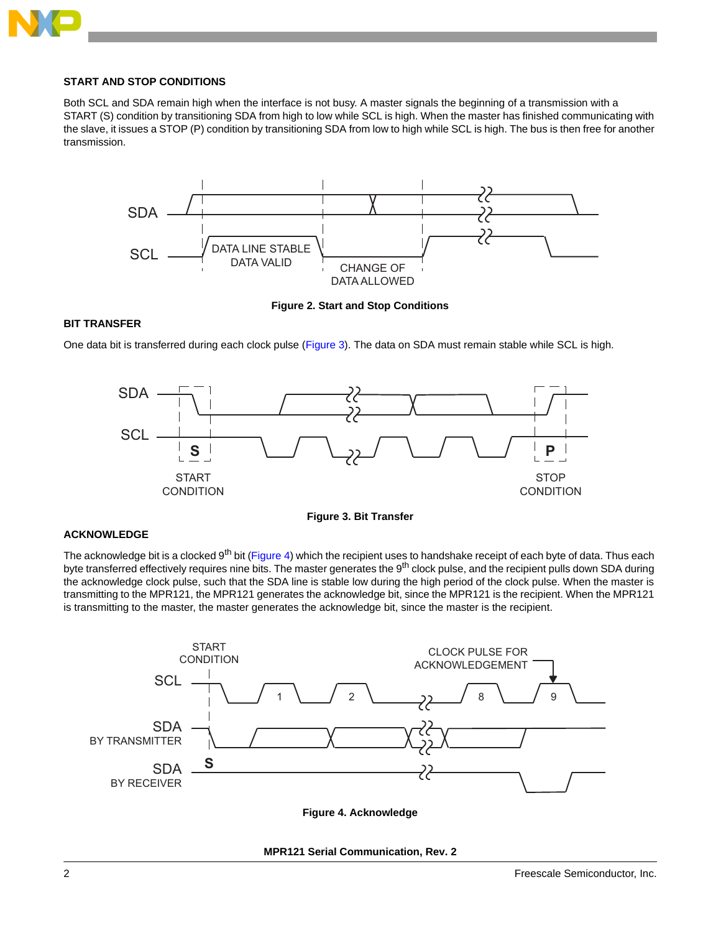

#### **START AND STOP CONDITIONS**

Both SCL and SDA remain high when the interface is not busy. A master signals the beginning of a transmission with a START (S) condition by transitioning SDA from high to low while SCL is high. When the master has finished communicating with the slave, it issues a STOP (P) condition by transitioning SDA from low to high while SCL is high. The bus is then free for another transmission.



**Figure 2. Start and Stop Conditions**

#### **BIT TRANSFER**

One data bit is transferred during each clock pulse ([Figure](#page-1-0) 3). The data on SDA must remain stable while SCL is high.



**Figure 3. Bit Transfer**

#### <span id="page-1-0"></span>**ACKNOWLEDGE**

The acknowledge bit is a clocked 9<sup>th</sup> bit [\(Figure](#page-1-1) 4) which the recipient uses to handshake receipt of each byte of data. Thus each byte transferred effectively requires nine bits. The master generates the 9<sup>th</sup> clock pulse, and the recipient pulls down SDA during the acknowledge clock pulse, such that the SDA line is stable low during the high period of the clock pulse. When the master is transmitting to the MPR121, the MPR121 generates the acknowledge bit, since the MPR121 is the recipient. When the MPR121 is transmitting to the master, the master generates the acknowledge bit, since the master is the recipient.

<span id="page-1-1"></span>

**Figure 4. Acknowledge**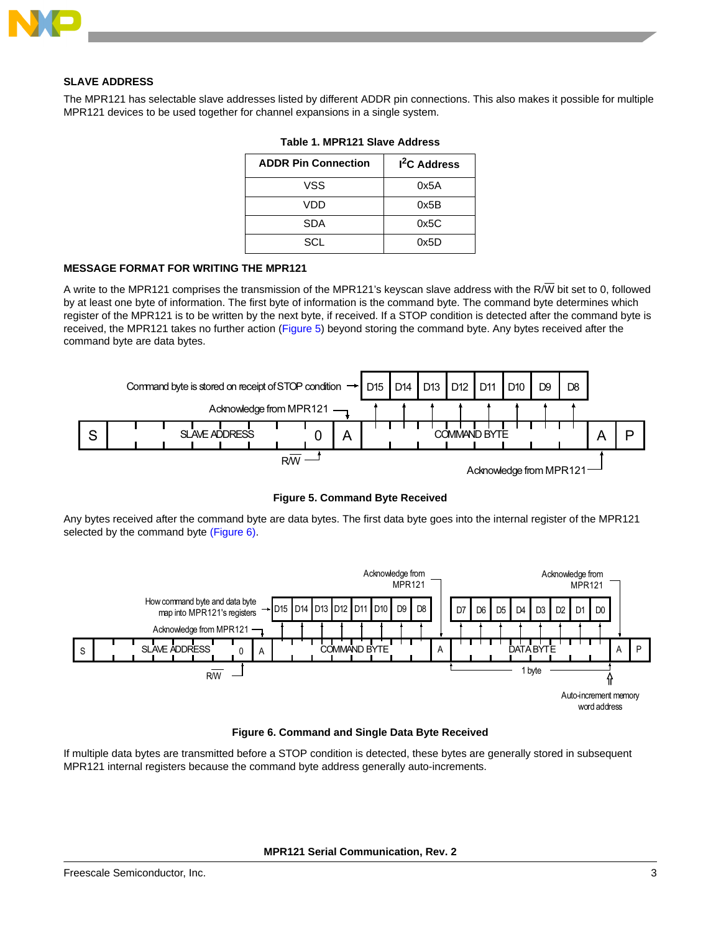

#### **SLAVE ADDRESS**

The MPR121 has selectable slave addresses listed by different ADDR pin connections. This also makes it possible for multiple MPR121 devices to be used together for channel expansions in a single system.

| <b>ADDR Pin Connection</b> | <sup>2</sup> C Address |
|----------------------------|------------------------|
| VSS                        | 0x5A                   |
| VDD                        | 0x5B                   |
| <b>SDA</b>                 | 0x5C                   |
| SCL                        | 0x5D                   |

**Table 1. MPR121 Slave Address**

#### **MESSAGE FORMAT FOR WRITING THE MPR121**

A write to the MPR121 comprises the transmission of the MPR121's keyscan slave address with the R/W bit set to 0, followed by at least one byte of information. The first byte of information is the command byte. The command byte determines which register of the MPR121 is to be written by the next byte, if received. If a STOP condition is detected after the command byte is received, the MPR121 takes no further action ([Figure](#page-2-0) 5) beyond storing the command byte. Any bytes received after the command byte are data bytes.



**Figure 5. Command Byte Received**

<span id="page-2-0"></span>Any bytes received after the command byte are data bytes. The first data byte goes into the internal register of the MPR121 selected by the command byte [\(Figure](#page-2-1) 6).





<span id="page-2-1"></span>If multiple data bytes are transmitted before a STOP condition is detected, these bytes are generally stored in subsequent MPR121 internal registers because the command byte address generally auto-increments.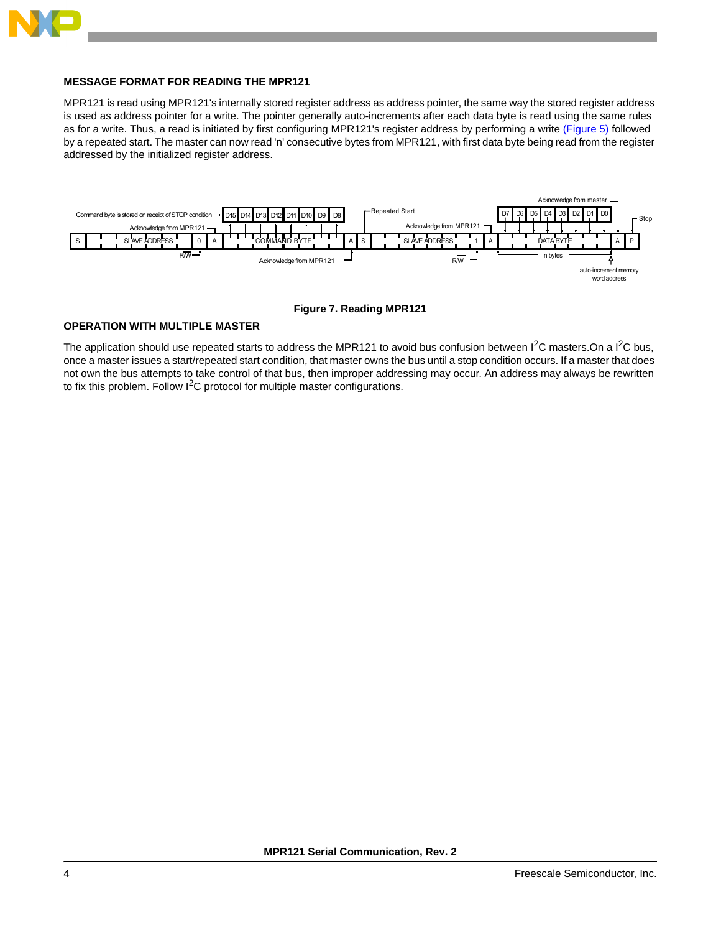

#### **MESSAGE FORMAT FOR READING THE MPR121**

MPR121 is read using MPR121's internally stored register address as address pointer, the same way the stored register address is used as address pointer for a write. The pointer generally auto-increments after each data byte is read using the same rules as for a write. Thus, a read is initiated by first configuring MPR121's register address by performing a write [\(Figure](#page-2-0) 5) followed by a repeated start. The master can now read 'n' consecutive bytes from MPR121, with first data byte being read from the register addressed by the initialized register address.



**Figure 7. Reading MPR121**

#### **OPERATION WITH MULTIPLE MASTER**

The application should use repeated starts to address the MPR121 to avoid bus confusion between  $I^2C$  masters. On a  $I^2C$  bus, once a master issues a start/repeated start condition, that master owns the bus until a stop condition occurs. If a master that does not own the bus attempts to take control of that bus, then improper addressing may occur. An address may always be rewritten to fix this problem. Follow  $I^2C$  protocol for multiple master configurations.